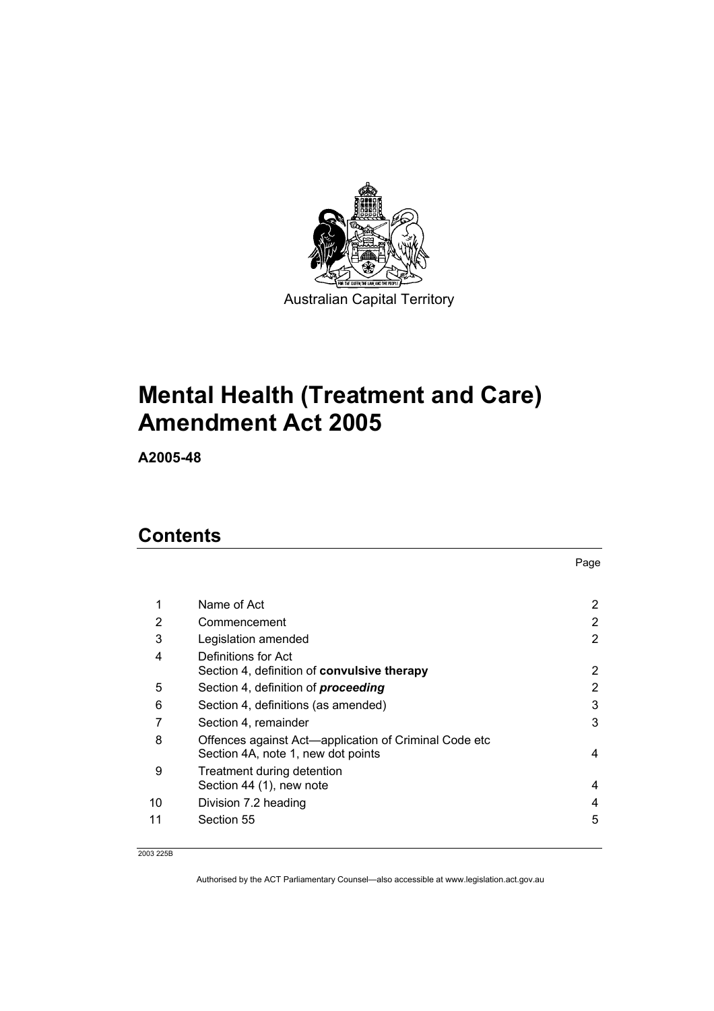

# **Mental Health (Treatment and Care) Amendment Act 2005**

**A2005-48** 

## **Contents**

|    |                                                                                             | Page |
|----|---------------------------------------------------------------------------------------------|------|
|    |                                                                                             |      |
| 1  | Name of Act                                                                                 | 2    |
| 2  | Commencement                                                                                | 2    |
| 3  | Legislation amended                                                                         | 2    |
| 4  | Definitions for Act                                                                         |      |
|    | Section 4, definition of convulsive therapy                                                 | 2    |
| 5  | Section 4, definition of <i>proceeding</i>                                                  | 2    |
| 6  | Section 4, definitions (as amended)                                                         | 3    |
| 7  | Section 4, remainder                                                                        | 3    |
| 8  | Offences against Act-application of Criminal Code etc<br>Section 4A, note 1, new dot points | 4    |
| 9  | Treatment during detention                                                                  |      |
|    | Section 44 (1), new note                                                                    | 4    |
| 10 | Division 7.2 heading                                                                        | 4    |
| 11 | Section 55                                                                                  | 5    |

2003 225B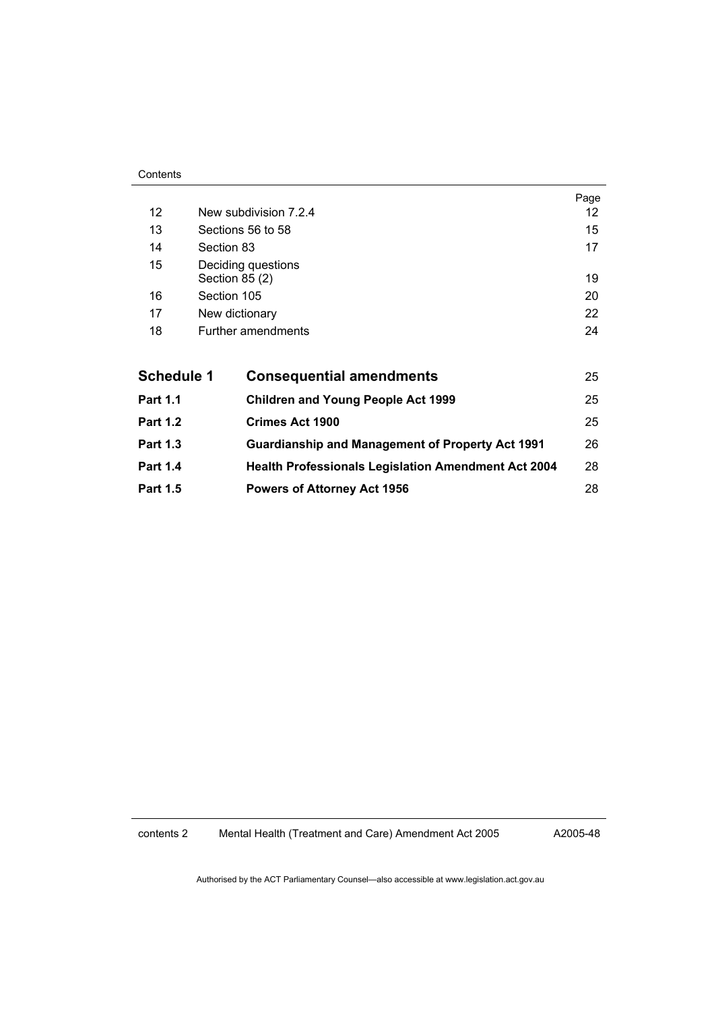#### Contents

|                   |                                      |                                                            | Page |
|-------------------|--------------------------------------|------------------------------------------------------------|------|
| $12 \overline{ }$ | New subdivision 7.2.4                |                                                            |      |
| 13                | Sections 56 to 58                    |                                                            |      |
| 14                | Section 83                           |                                                            |      |
| 15                | Deciding questions<br>Section 85 (2) |                                                            |      |
| 16                | Section 105                          |                                                            |      |
| 17                | New dictionary                       |                                                            |      |
| 18                |                                      | Further amendments                                         | 24   |
|                   |                                      |                                                            |      |
| <b>Schedule 1</b> |                                      | <b>Consequential amendments</b>                            | 25   |
| <b>Part 1.1</b>   |                                      | <b>Children and Young People Act 1999</b>                  | 25   |
| <b>Part 1.2</b>   |                                      | <b>Crimes Act 1900</b>                                     | 25   |
| <b>Part 1.3</b>   |                                      | <b>Guardianship and Management of Property Act 1991</b>    | 26   |
| <b>Part 1.4</b>   |                                      | <b>Health Professionals Legislation Amendment Act 2004</b> | 28   |
| <b>Part 1.5</b>   |                                      | <b>Powers of Attorney Act 1956</b>                         | 28   |

contents 2 Mental Health (Treatment and Care) Amendment Act 2005

A2005-48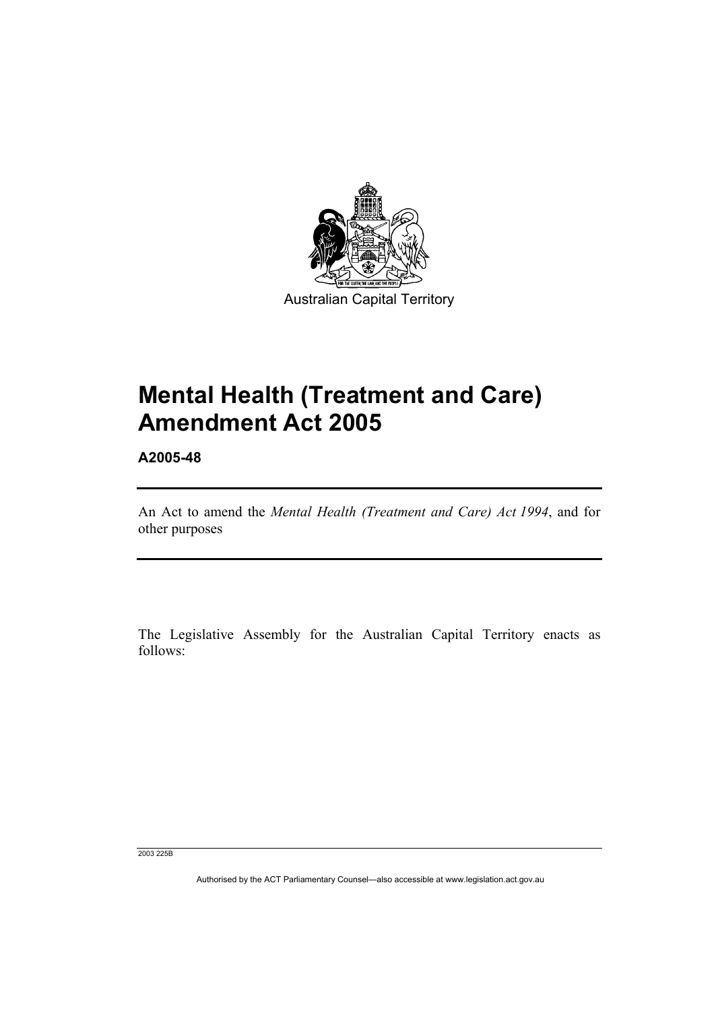

# **Mental Health (Treatment and Care) Amendment Act 2005**

**A2005-48** 

An Act to amend the *Mental Health (Treatment and Care) Act 1994*, and for other purposes

The Legislative Assembly for the Australian Capital Territory enacts as follows:

2003 225B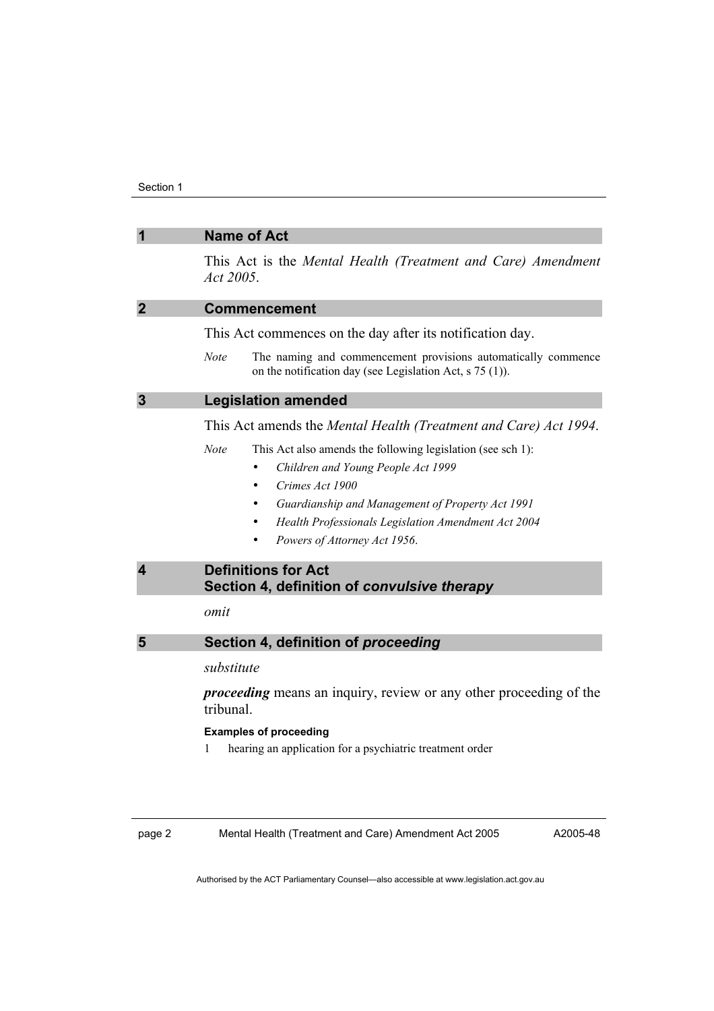|                         | <b>Name of Act</b>                                                                                                                         |  |
|-------------------------|--------------------------------------------------------------------------------------------------------------------------------------------|--|
|                         | This Act is the Mental Health (Treatment and Care) Amendment<br>Act 2005.                                                                  |  |
| $\mathbf{2}$            | <b>Commencement</b>                                                                                                                        |  |
|                         | This Act commences on the day after its notification day.                                                                                  |  |
|                         | <b>Note</b><br>The naming and commencement provisions automatically commence<br>on the notification day (see Legislation Act, $s$ 75 (1)). |  |
| $\overline{3}$          | <b>Legislation amended</b>                                                                                                                 |  |
|                         | This Act amends the Mental Health (Treatment and Care) Act 1994.                                                                           |  |
|                         | <b>Note</b><br>This Act also amends the following legislation (see sch 1):<br>Children and Young People Act 1999                           |  |
|                         | Crimes Act 1900                                                                                                                            |  |
|                         | Guardianship and Management of Property Act 1991                                                                                           |  |
|                         | Health Professionals Legislation Amendment Act 2004                                                                                        |  |
|                         | Powers of Attorney Act 1956.                                                                                                               |  |
| $\overline{\mathbf{4}}$ | <b>Definitions for Act</b><br>Section 4, definition of convulsive therapy                                                                  |  |
|                         | omit                                                                                                                                       |  |
| 5                       | Section 4, definition of proceeding                                                                                                        |  |
|                         | substitute                                                                                                                                 |  |
|                         | <i>proceeding</i> means an inquiry, review or any other proceeding of the<br>tribunal.                                                     |  |
|                         | <b>Examples of proceeding</b>                                                                                                              |  |
|                         | hearing an application for a psychiatric treatment order<br>1                                                                              |  |
|                         |                                                                                                                                            |  |
| page 2                  | Mental Health (Treatment and Care) Amendment Act 2005<br>A2005-48                                                                          |  |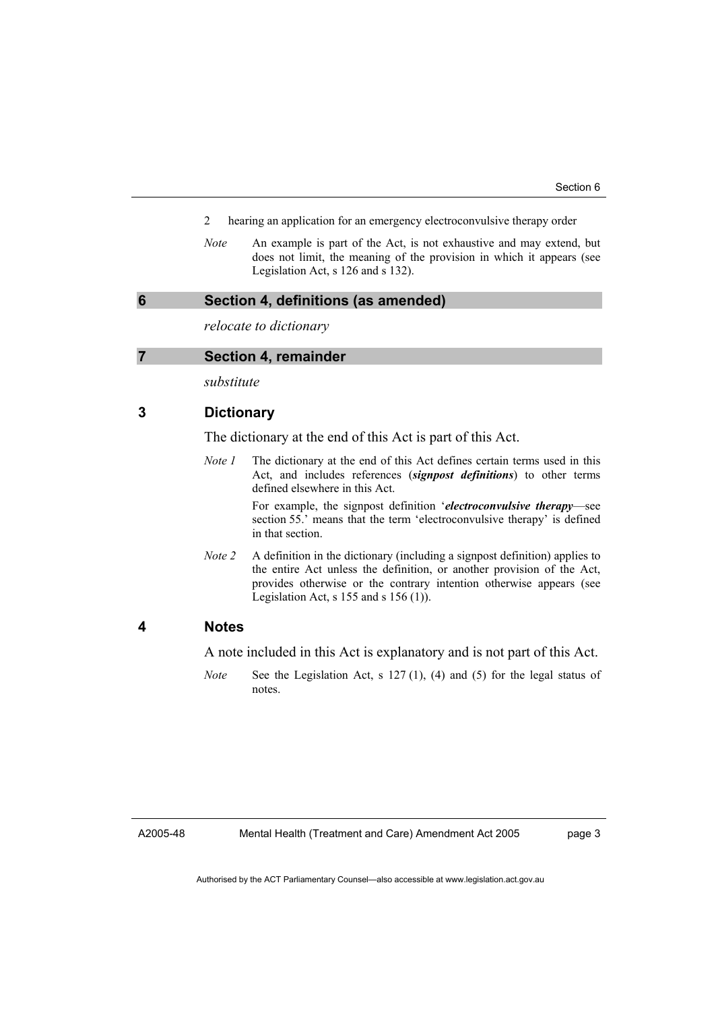- 2 hearing an application for an emergency electroconvulsive therapy order
- *Note* An example is part of the Act, is not exhaustive and may extend, but does not limit, the meaning of the provision in which it appears (see Legislation Act, s 126 and s 132).

#### **6 Section 4, definitions (as amended)**

*relocate to dictionary* 

#### **7 Section 4, remainder**

*substitute* 

#### **3 Dictionary**

The dictionary at the end of this Act is part of this Act.

*Note 1* The dictionary at the end of this Act defines certain terms used in this Act, and includes references (*signpost definitions*) to other terms defined elsewhere in this Act.

For example, the signpost definition '*electroconvulsive therapy*—see section 55.' means that the term 'electroconvulsive therapy' is defined in that section.

*Note 2* A definition in the dictionary (including a signpost definition) applies to the entire Act unless the definition, or another provision of the Act, provides otherwise or the contrary intention otherwise appears (see Legislation Act, s 155 and s 156 (1)).

#### **4 Notes**

A note included in this Act is explanatory and is not part of this Act.

*Note* See the Legislation Act, s 127 (1), (4) and (5) for the legal status of notes.

A2005-48

Mental Health (Treatment and Care) Amendment Act 2005

page 3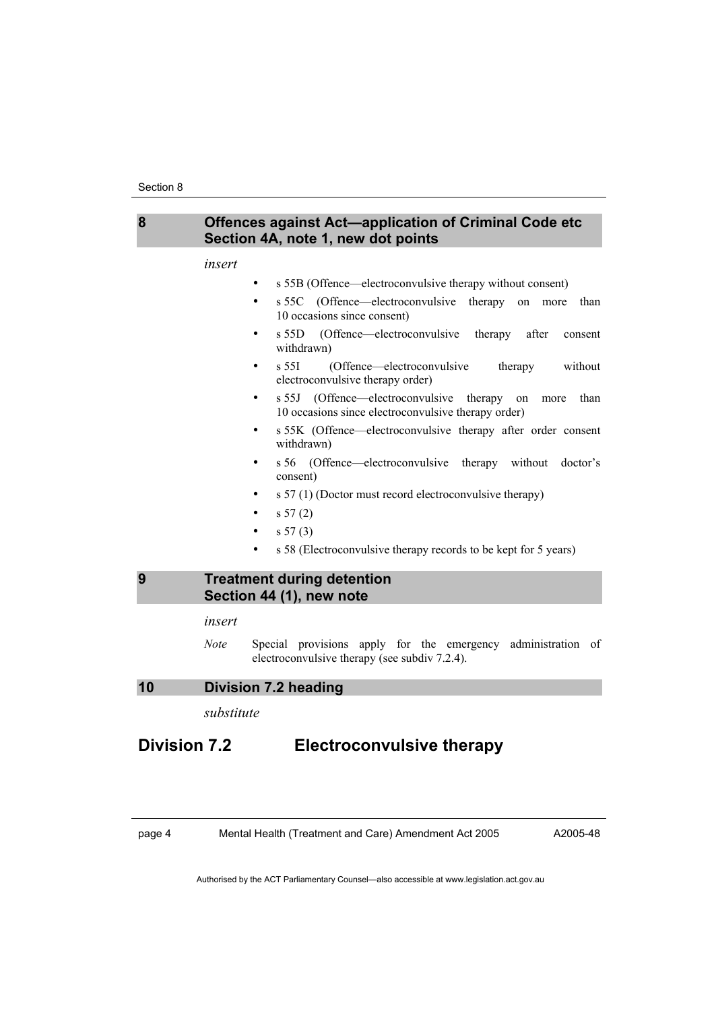

#### *insert*

- s 55B (Offence—electroconvulsive therapy without consent)
- s 55C (Offence—electroconvulsive therapy on more than 10 occasions since consent)
- s 55D (Offence—electroconvulsive therapy after consent withdrawn)
- s 55I (Offence—electroconvulsive therapy without electroconvulsive therapy order)
- s 55J (Offence—electroconvulsive therapy on more than 10 occasions since electroconvulsive therapy order)
- s 55K (Offence—electroconvulsive therapy after order consent withdrawn)
- s 56 (Offence—electroconvulsive therapy without doctor's consent)
- s 57 (1) (Doctor must record electroconvulsive therapy)
- s 57 (2)
- s 57 (3)
- s 58 (Electroconvulsive therapy records to be kept for 5 years)

#### **9 Treatment during detention Section 44 (1), new note**

#### *insert*

*Note* Special provisions apply for the emergency administration of electroconvulsive therapy (see subdiv 7.2.4).

#### **10 Division 7.2 heading**

*substitute* 

### **Division 7.2 Electroconvulsive therapy**

page 4 Mental Health (Treatment and Care) Amendment Act 2005

A2005-48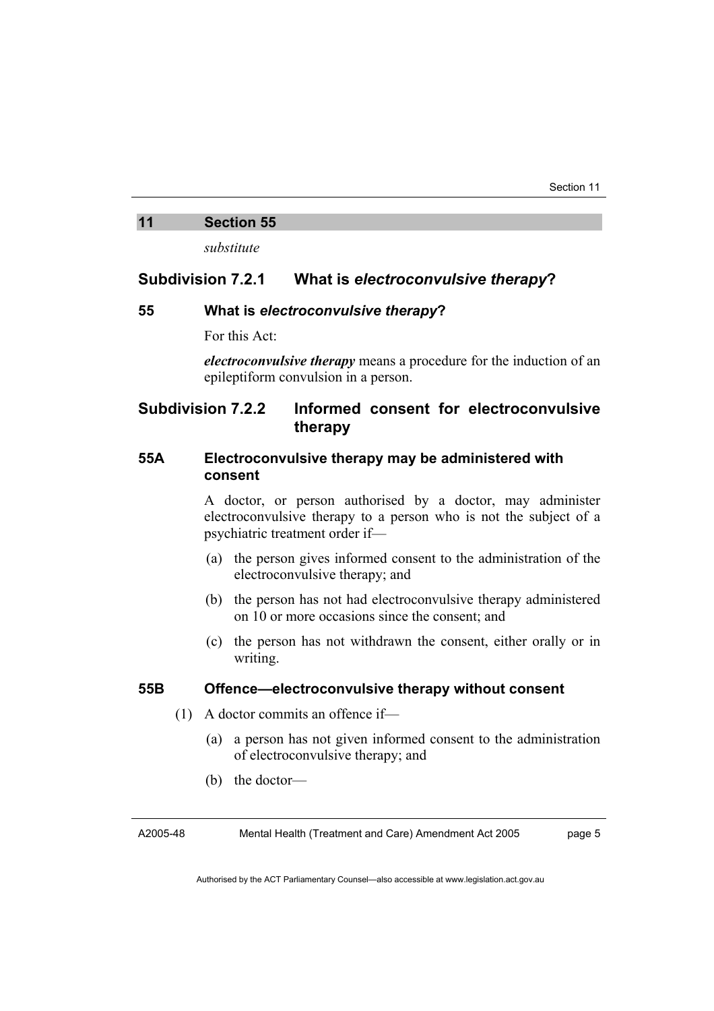#### **11 Section 55**

*substitute* 

#### **Subdivision 7.2.1 What is** *electroconvulsive therapy***?**

#### **55 What is** *electroconvulsive therapy***?**

For this Act:

*electroconvulsive therapy* means a procedure for the induction of an epileptiform convulsion in a person.

#### **Subdivision 7.2.2 Informed consent for electroconvulsive therapy**

#### **55A Electroconvulsive therapy may be administered with consent**

A doctor, or person authorised by a doctor, may administer electroconvulsive therapy to a person who is not the subject of a psychiatric treatment order if—

- (a) the person gives informed consent to the administration of the electroconvulsive therapy; and
- (b) the person has not had electroconvulsive therapy administered on 10 or more occasions since the consent; and
- (c) the person has not withdrawn the consent, either orally or in writing.

#### **55B Offence—electroconvulsive therapy without consent**

- (1) A doctor commits an offence if—
	- (a) a person has not given informed consent to the administration of electroconvulsive therapy; and
	- (b) the doctor—

A2005-48

Mental Health (Treatment and Care) Amendment Act 2005

page 5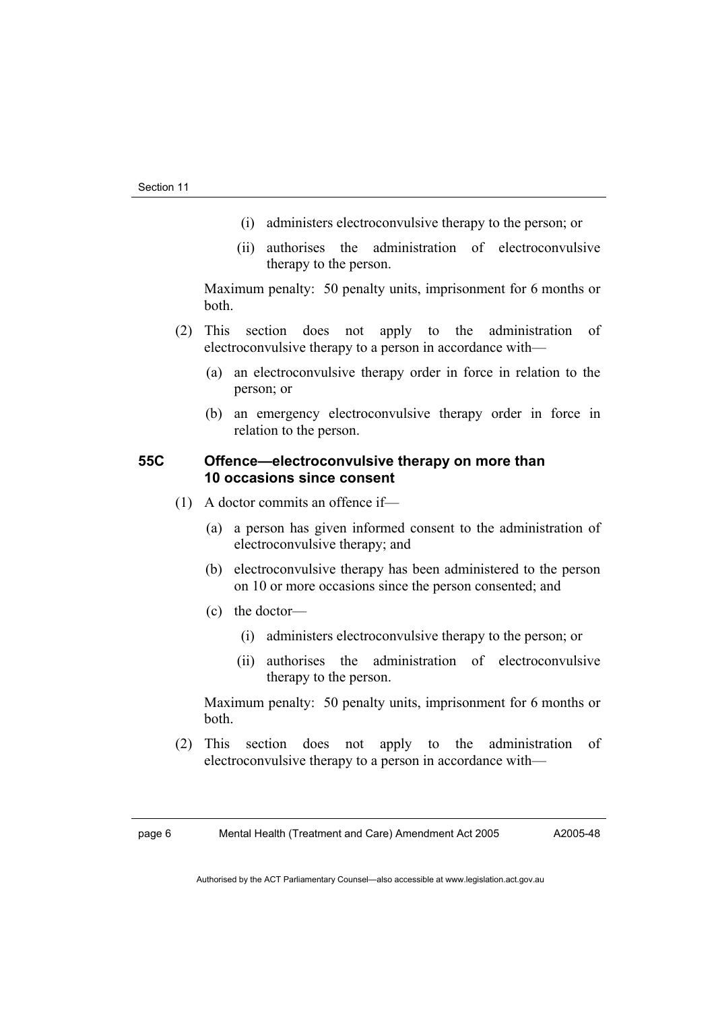- (i) administers electroconvulsive therapy to the person; or
- (ii) authorises the administration of electroconvulsive therapy to the person.

Maximum penalty: 50 penalty units, imprisonment for 6 months or both.

- (2) This section does not apply to the administration of electroconvulsive therapy to a person in accordance with—
	- (a) an electroconvulsive therapy order in force in relation to the person; or
	- (b) an emergency electroconvulsive therapy order in force in relation to the person.

#### **55C Offence—electroconvulsive therapy on more than 10 occasions since consent**

- (1) A doctor commits an offence if—
	- (a) a person has given informed consent to the administration of electroconvulsive therapy; and
	- (b) electroconvulsive therapy has been administered to the person on 10 or more occasions since the person consented; and
	- (c) the doctor—
		- (i) administers electroconvulsive therapy to the person; or
		- (ii) authorises the administration of electroconvulsive therapy to the person.

Maximum penalty: 50 penalty units, imprisonment for 6 months or both.

 (2) This section does not apply to the administration of electroconvulsive therapy to a person in accordance with—

A2005-48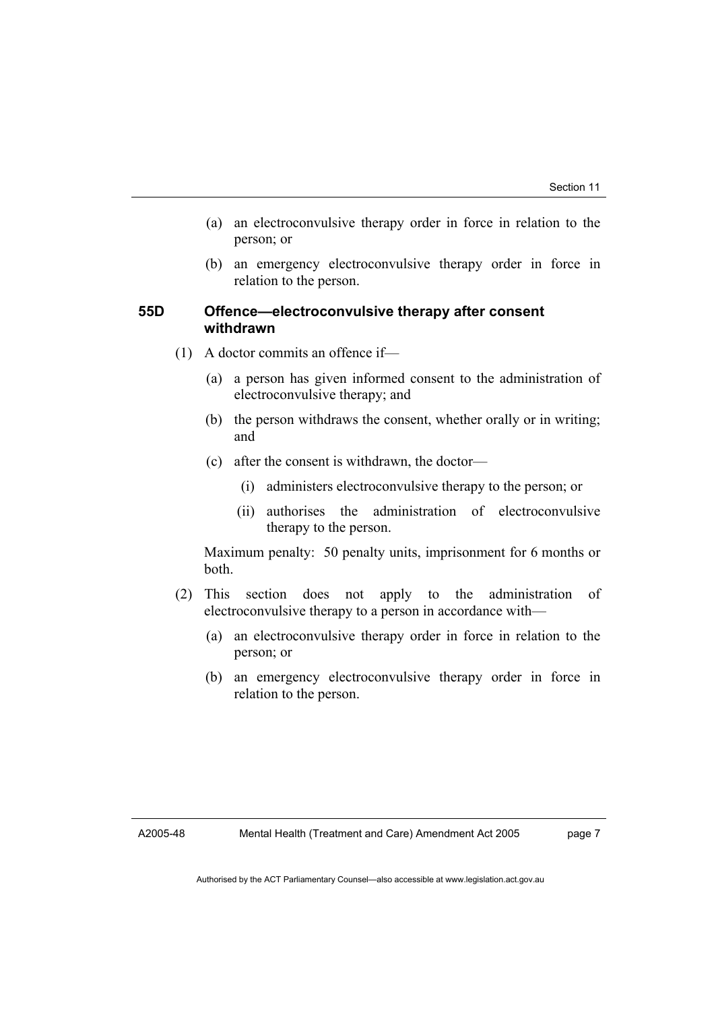- (a) an electroconvulsive therapy order in force in relation to the person; or
- (b) an emergency electroconvulsive therapy order in force in relation to the person.

#### **55D Offence—electroconvulsive therapy after consent withdrawn**

- (1) A doctor commits an offence if—
	- (a) a person has given informed consent to the administration of electroconvulsive therapy; and
	- (b) the person withdraws the consent, whether orally or in writing; and
	- (c) after the consent is withdrawn, the doctor—
		- (i) administers electroconvulsive therapy to the person; or
		- (ii) authorises the administration of electroconvulsive therapy to the person.

Maximum penalty: 50 penalty units, imprisonment for 6 months or both.

- (2) This section does not apply to the administration of electroconvulsive therapy to a person in accordance with—
	- (a) an electroconvulsive therapy order in force in relation to the person; or
	- (b) an emergency electroconvulsive therapy order in force in relation to the person.

A2005-48

page 7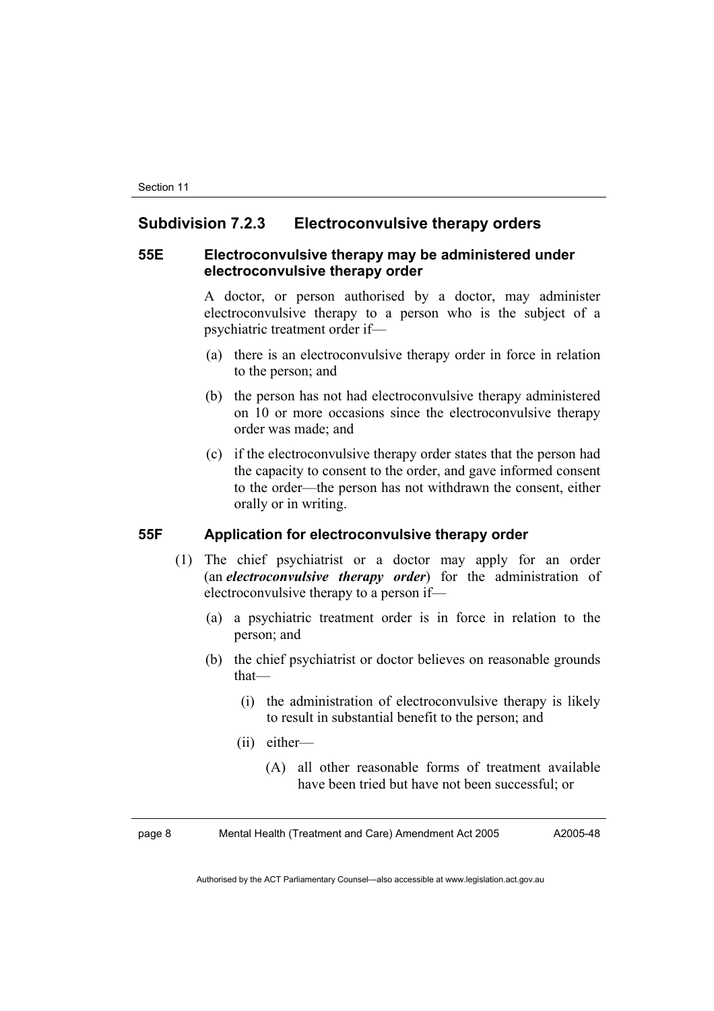#### **Subdivision 7.2.3 Electroconvulsive therapy orders**

#### **55E Electroconvulsive therapy may be administered under electroconvulsive therapy order**

A doctor, or person authorised by a doctor, may administer electroconvulsive therapy to a person who is the subject of a psychiatric treatment order if—

- (a) there is an electroconvulsive therapy order in force in relation to the person; and
- (b) the person has not had electroconvulsive therapy administered on 10 or more occasions since the electroconvulsive therapy order was made; and
- (c) if the electroconvulsive therapy order states that the person had the capacity to consent to the order, and gave informed consent to the order—the person has not withdrawn the consent, either orally or in writing.

#### **55F Application for electroconvulsive therapy order**

- (1) The chief psychiatrist or a doctor may apply for an order (an *electroconvulsive therapy order*) for the administration of electroconvulsive therapy to a person if—
	- (a) a psychiatric treatment order is in force in relation to the person; and
	- (b) the chief psychiatrist or doctor believes on reasonable grounds that—
		- (i) the administration of electroconvulsive therapy is likely to result in substantial benefit to the person; and
		- (ii) either—
			- (A) all other reasonable forms of treatment available have been tried but have not been successful; or

page 8 Mental Health (Treatment and Care) Amendment Act 2005 A2005-48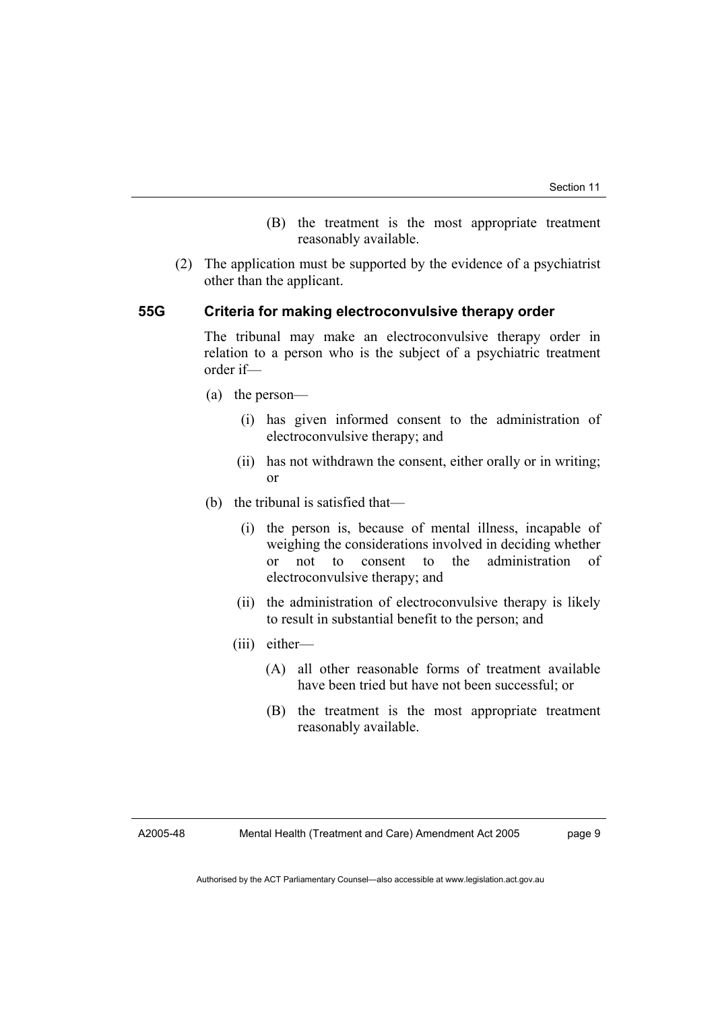- (B) the treatment is the most appropriate treatment reasonably available.
- (2) The application must be supported by the evidence of a psychiatrist other than the applicant.

#### **55G Criteria for making electroconvulsive therapy order**

The tribunal may make an electroconvulsive therapy order in relation to a person who is the subject of a psychiatric treatment order if—

- (a) the person—
	- (i) has given informed consent to the administration of electroconvulsive therapy; and
	- (ii) has not withdrawn the consent, either orally or in writing; or
- (b) the tribunal is satisfied that—
	- (i) the person is, because of mental illness, incapable of weighing the considerations involved in deciding whether or not to consent to the administration of electroconvulsive therapy; and
	- (ii) the administration of electroconvulsive therapy is likely to result in substantial benefit to the person; and
	- (iii) either—
		- (A) all other reasonable forms of treatment available have been tried but have not been successful; or
		- (B) the treatment is the most appropriate treatment reasonably available.

A2005-48

page 9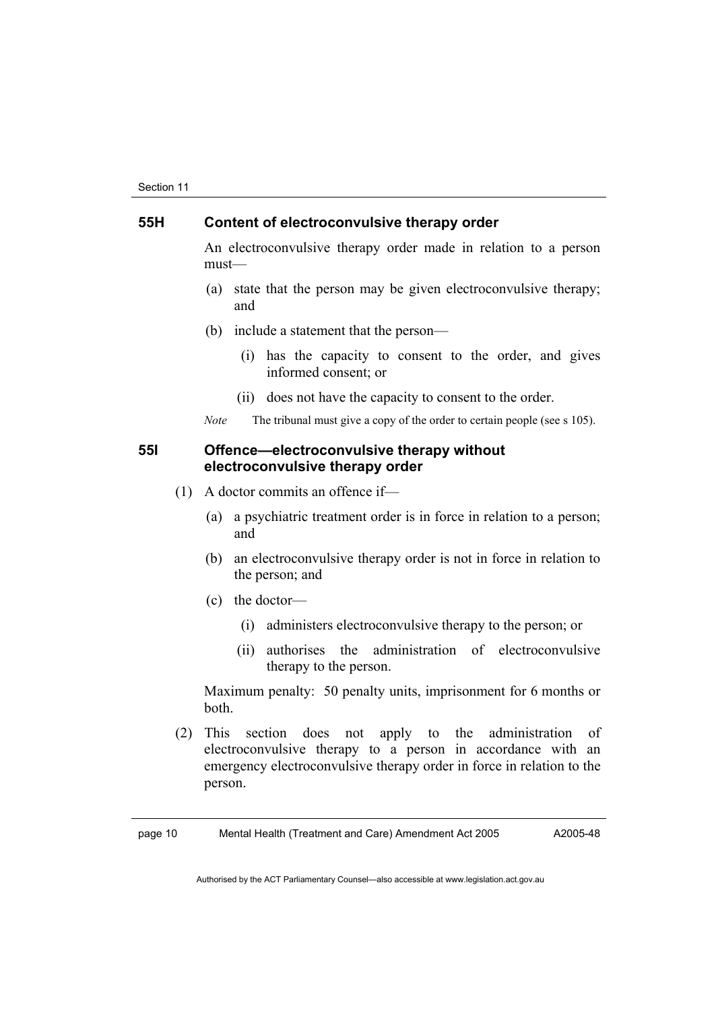#### **55H Content of electroconvulsive therapy order**

An electroconvulsive therapy order made in relation to a person must—

- (a) state that the person may be given electroconvulsive therapy; and
- (b) include a statement that the person—
	- (i) has the capacity to consent to the order, and gives informed consent; or
	- (ii) does not have the capacity to consent to the order.

*Note* The tribunal must give a copy of the order to certain people (see s 105).

#### **55I Offence—electroconvulsive therapy without electroconvulsive therapy order**

- (1) A doctor commits an offence if—
	- (a) a psychiatric treatment order is in force in relation to a person; and
	- (b) an electroconvulsive therapy order is not in force in relation to the person; and
	- (c) the doctor—
		- (i) administers electroconvulsive therapy to the person; or
		- (ii) authorises the administration of electroconvulsive therapy to the person.

Maximum penalty: 50 penalty units, imprisonment for 6 months or both.

 (2) This section does not apply to the administration of electroconvulsive therapy to a person in accordance with an emergency electroconvulsive therapy order in force in relation to the person.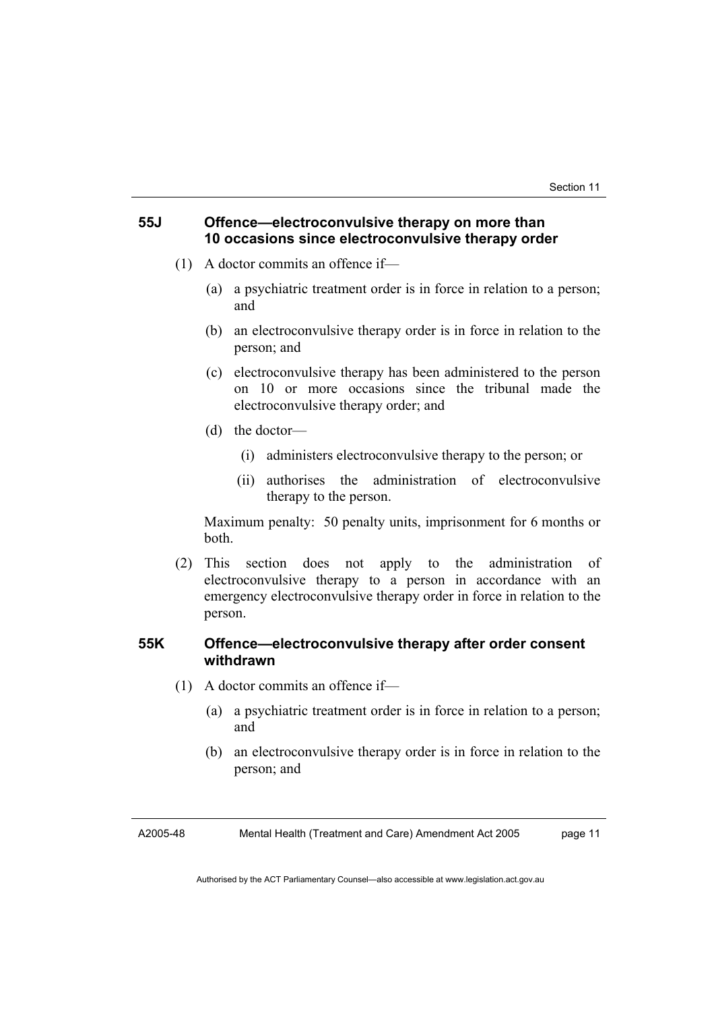#### **55J Offence—electroconvulsive therapy on more than 10 occasions since electroconvulsive therapy order**

- (1) A doctor commits an offence if—
	- (a) a psychiatric treatment order is in force in relation to a person; and
	- (b) an electroconvulsive therapy order is in force in relation to the person; and
	- (c) electroconvulsive therapy has been administered to the person on 10 or more occasions since the tribunal made the electroconvulsive therapy order; and
	- (d) the doctor—
		- (i) administers electroconvulsive therapy to the person; or
		- (ii) authorises the administration of electroconvulsive therapy to the person.

Maximum penalty: 50 penalty units, imprisonment for 6 months or both.

 (2) This section does not apply to the administration of electroconvulsive therapy to a person in accordance with an emergency electroconvulsive therapy order in force in relation to the person.

#### **55K Offence—electroconvulsive therapy after order consent withdrawn**

- (1) A doctor commits an offence if—
	- (a) a psychiatric treatment order is in force in relation to a person; and
	- (b) an electroconvulsive therapy order is in force in relation to the person; and

A2005-48 Mental Health (Treatment and Care) Amendment Act 2005 page 11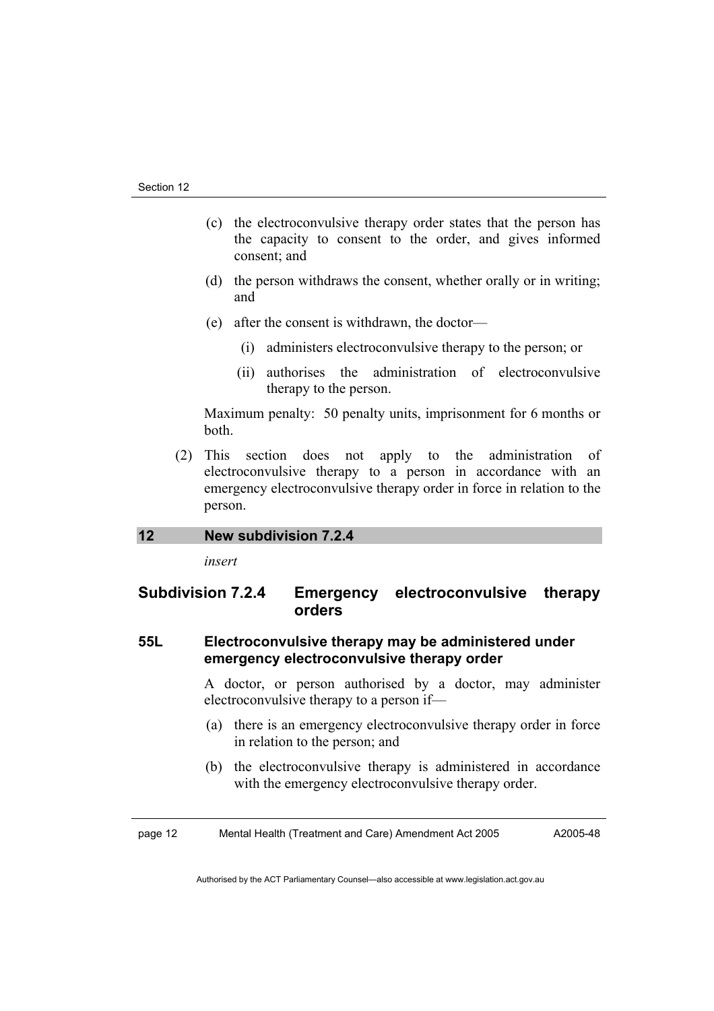- (c) the electroconvulsive therapy order states that the person has the capacity to consent to the order, and gives informed consent; and
- (d) the person withdraws the consent, whether orally or in writing; and
- (e) after the consent is withdrawn, the doctor—
	- (i) administers electroconvulsive therapy to the person; or
	- (ii) authorises the administration of electroconvulsive therapy to the person.

Maximum penalty: 50 penalty units, imprisonment for 6 months or both.

 (2) This section does not apply to the administration of electroconvulsive therapy to a person in accordance with an emergency electroconvulsive therapy order in force in relation to the person.

#### **12 New subdivision 7.2.4**

*insert* 

#### **Subdivision 7.2.4 Emergency electroconvulsive therapy orders**

#### **55L Electroconvulsive therapy may be administered under emergency electroconvulsive therapy order**

A doctor, or person authorised by a doctor, may administer electroconvulsive therapy to a person if—

- (a) there is an emergency electroconvulsive therapy order in force in relation to the person; and
- (b) the electroconvulsive therapy is administered in accordance with the emergency electroconvulsive therapy order.

page 12 Mental Health (Treatment and Care) Amendment Act 2005 A2005-48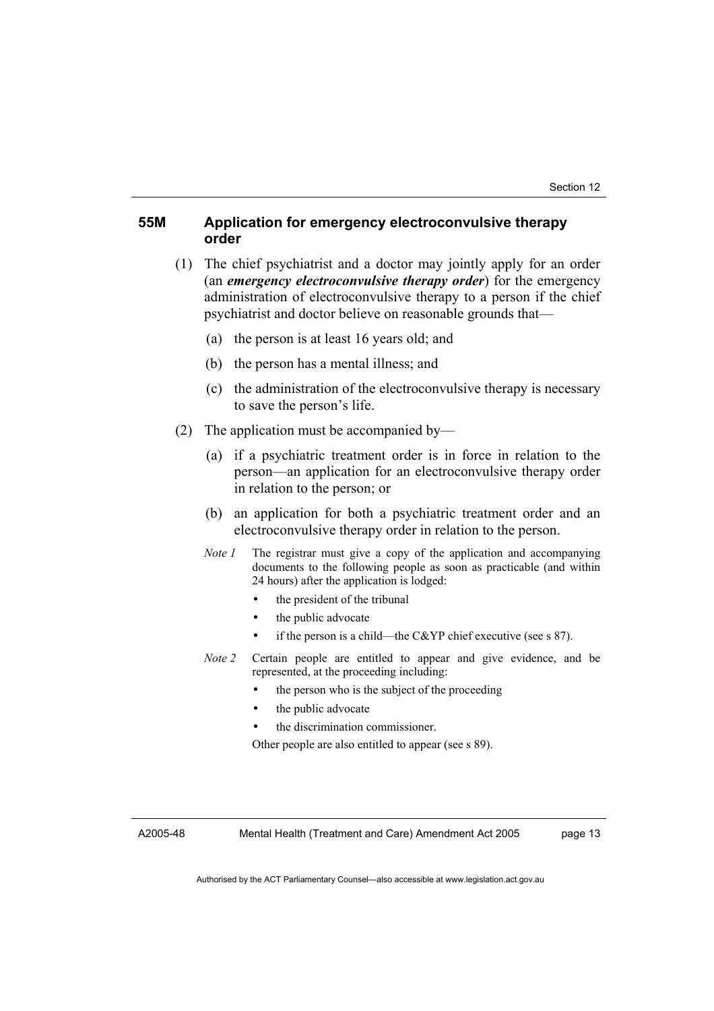#### **55M Application for emergency electroconvulsive therapy order**

- (1) The chief psychiatrist and a doctor may jointly apply for an order (an *emergency electroconvulsive therapy order*) for the emergency administration of electroconvulsive therapy to a person if the chief psychiatrist and doctor believe on reasonable grounds that—
	- (a) the person is at least 16 years old; and
	- (b) the person has a mental illness; and
	- (c) the administration of the electroconvulsive therapy is necessary to save the person's life.
- (2) The application must be accompanied by—
	- (a) if a psychiatric treatment order is in force in relation to the person—an application for an electroconvulsive therapy order in relation to the person; or
	- (b) an application for both a psychiatric treatment order and an electroconvulsive therapy order in relation to the person.
	- *Note 1* The registrar must give a copy of the application and accompanying documents to the following people as soon as practicable (and within 24 hours) after the application is lodged:
		- the president of the tribunal
		- the public advocate
		- if the person is a child—the C&YP chief executive (see s 87).
	- *Note 2* Certain people are entitled to appear and give evidence, and be represented, at the proceeding including:
		- the person who is the subject of the proceeding
		- the public advocate
		- the discrimination commissioner.

Other people are also entitled to appear (see s 89).

A2005-48

Mental Health (Treatment and Care) Amendment Act 2005

page 13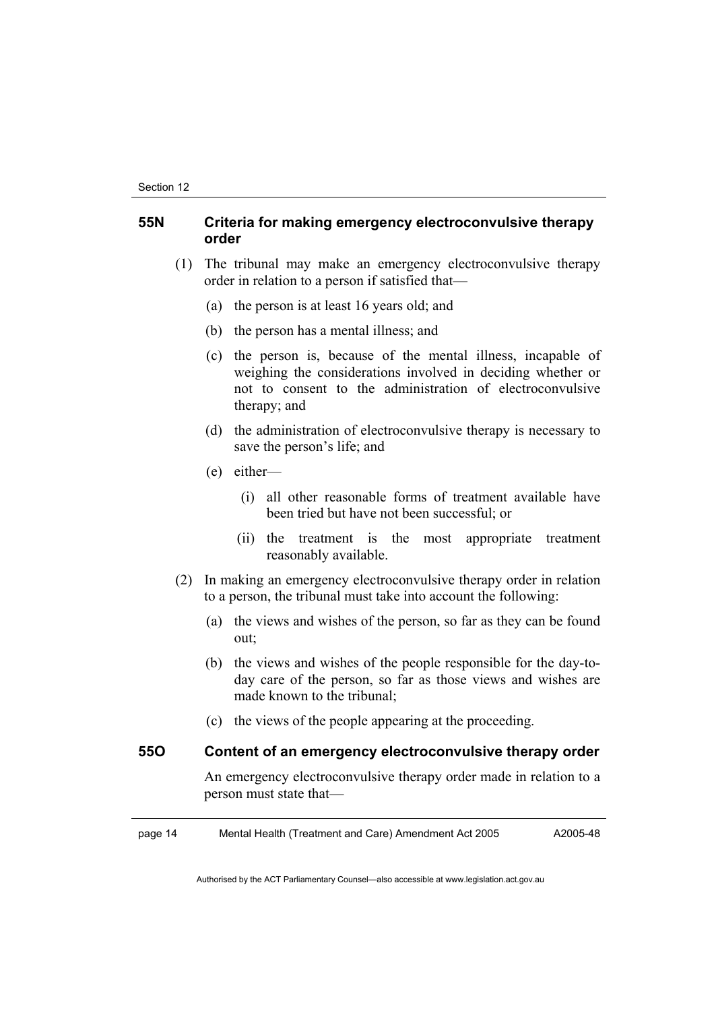#### **55N Criteria for making emergency electroconvulsive therapy order**

- (1) The tribunal may make an emergency electroconvulsive therapy order in relation to a person if satisfied that—
	- (a) the person is at least 16 years old; and
	- (b) the person has a mental illness; and
	- (c) the person is, because of the mental illness, incapable of weighing the considerations involved in deciding whether or not to consent to the administration of electroconvulsive therapy; and
	- (d) the administration of electroconvulsive therapy is necessary to save the person's life; and
	- (e) either—
		- (i) all other reasonable forms of treatment available have been tried but have not been successful; or
		- (ii) the treatment is the most appropriate treatment reasonably available.
- (2) In making an emergency electroconvulsive therapy order in relation to a person, the tribunal must take into account the following:
	- (a) the views and wishes of the person, so far as they can be found out;
	- (b) the views and wishes of the people responsible for the day-today care of the person, so far as those views and wishes are made known to the tribunal;
	- (c) the views of the people appearing at the proceeding.

#### **55O Content of an emergency electroconvulsive therapy order**

An emergency electroconvulsive therapy order made in relation to a person must state that—

page 14 Mental Health (Treatment and Care) Amendment Act 2005 A2005-48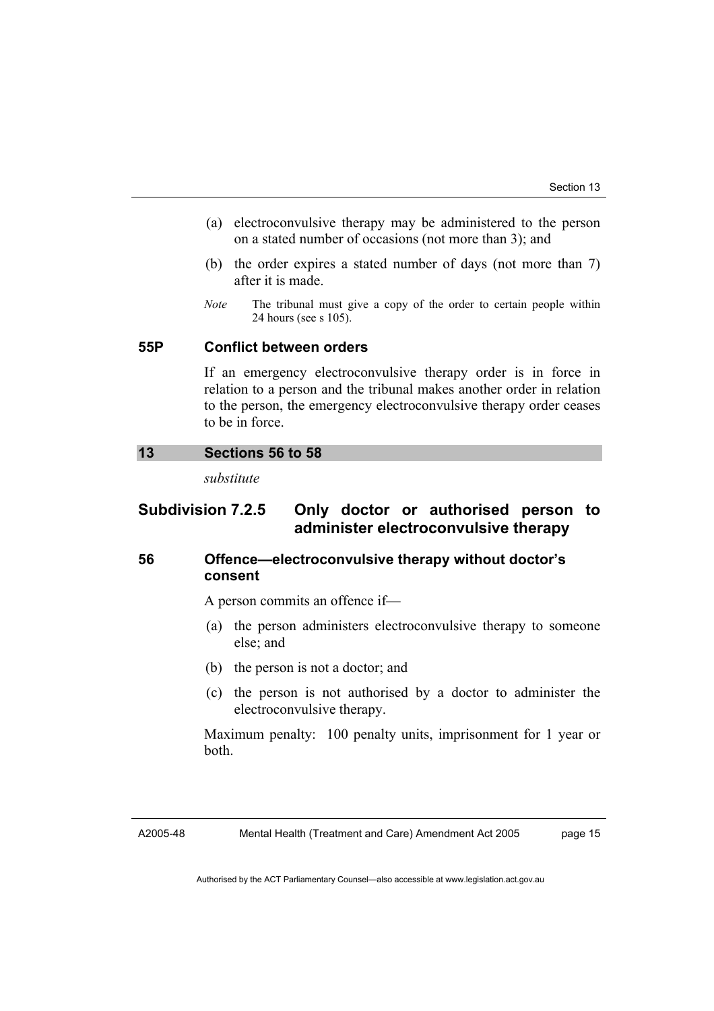- (a) electroconvulsive therapy may be administered to the person on a stated number of occasions (not more than 3); and
- (b) the order expires a stated number of days (not more than 7) after it is made.
- *Note* The tribunal must give a copy of the order to certain people within 24 hours (see s 105).

#### **55P Conflict between orders**

If an emergency electroconvulsive therapy order is in force in relation to a person and the tribunal makes another order in relation to the person, the emergency electroconvulsive therapy order ceases to be in force.

#### **13 Sections 56 to 58**

*substitute* 

#### **Subdivision 7.2.5 Only doctor or authorised person to administer electroconvulsive therapy**

#### **56 Offence—electroconvulsive therapy without doctor's consent**

A person commits an offence if—

- (a) the person administers electroconvulsive therapy to someone else; and
- (b) the person is not a doctor; and
- (c) the person is not authorised by a doctor to administer the electroconvulsive therapy.

Maximum penalty: 100 penalty units, imprisonment for 1 year or both.

A2005-48

Mental Health (Treatment and Care) Amendment Act 2005

page 15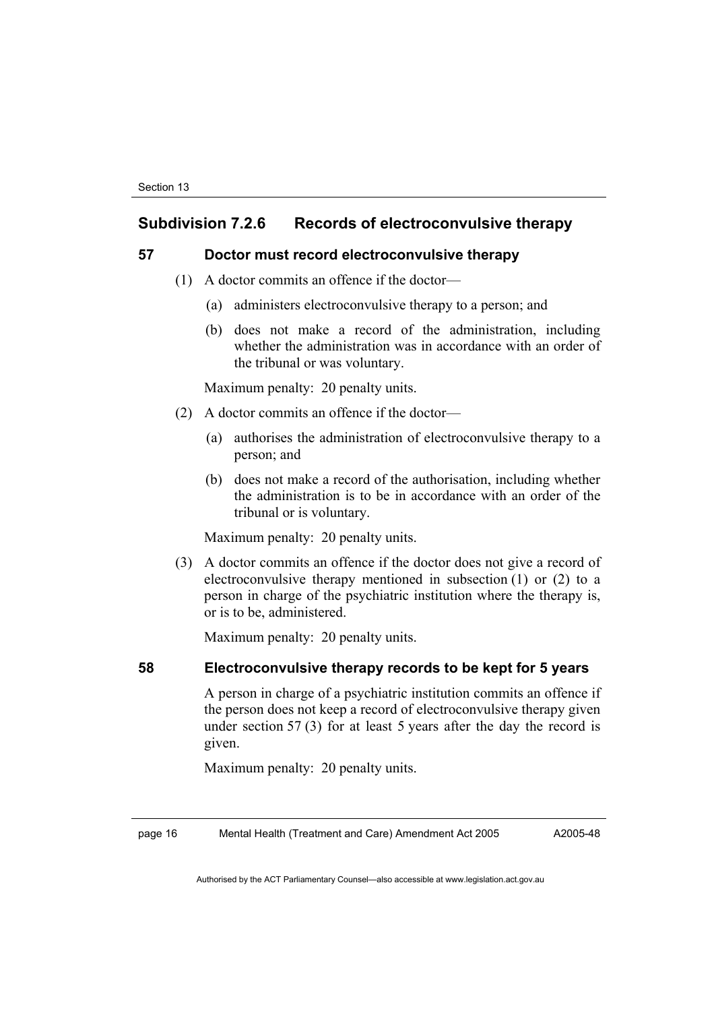#### **Subdivision 7.2.6 Records of electroconvulsive therapy**

#### **57 Doctor must record electroconvulsive therapy**

- (1) A doctor commits an offence if the doctor—
	- (a) administers electroconvulsive therapy to a person; and
	- (b) does not make a record of the administration, including whether the administration was in accordance with an order of the tribunal or was voluntary.

Maximum penalty: 20 penalty units.

- (2) A doctor commits an offence if the doctor—
	- (a) authorises the administration of electroconvulsive therapy to a person; and
	- (b) does not make a record of the authorisation, including whether the administration is to be in accordance with an order of the tribunal or is voluntary.

Maximum penalty: 20 penalty units.

 (3) A doctor commits an offence if the doctor does not give a record of electroconvulsive therapy mentioned in subsection (1) or (2) to a person in charge of the psychiatric institution where the therapy is, or is to be, administered.

Maximum penalty: 20 penalty units.

#### **58 Electroconvulsive therapy records to be kept for 5 years**

A person in charge of a psychiatric institution commits an offence if the person does not keep a record of electroconvulsive therapy given under section 57 (3) for at least 5 years after the day the record is given.

Maximum penalty: 20 penalty units.

page 16 Mental Health (Treatment and Care) Amendment Act 2005

A2005-48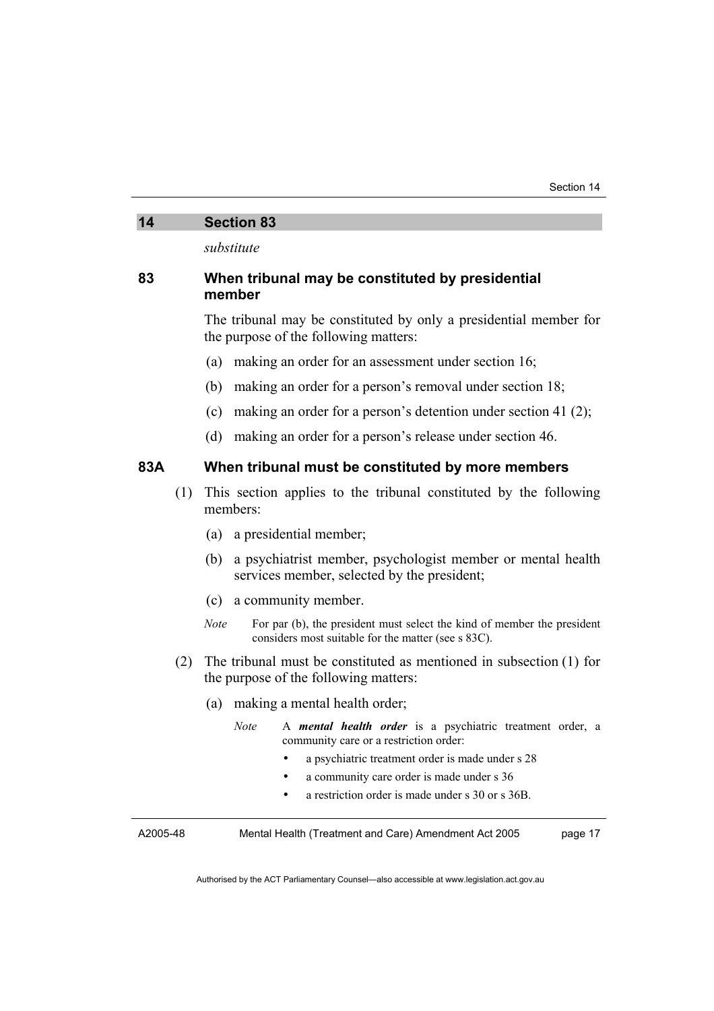#### **14 Section 83**

*substitute* 

#### **83 When tribunal may be constituted by presidential member**

The tribunal may be constituted by only a presidential member for the purpose of the following matters:

- (a) making an order for an assessment under section 16;
- (b) making an order for a person's removal under section 18;
- (c) making an order for a person's detention under section 41 (2);
- (d) making an order for a person's release under section 46.

#### **83A When tribunal must be constituted by more members**

- (1) This section applies to the tribunal constituted by the following members:
	- (a) a presidential member;
	- (b) a psychiatrist member, psychologist member or mental health services member, selected by the president;
	- (c) a community member.
	- *Note* For par (b), the president must select the kind of member the president considers most suitable for the matter (see s 83C).
- (2) The tribunal must be constituted as mentioned in subsection (1) for the purpose of the following matters:
	- (a) making a mental health order;
		- *Note* A *mental health order* is a psychiatric treatment order, a community care or a restriction order:
			- a psychiatric treatment order is made under s 28
			- a community care order is made under s 36
			- a restriction order is made under s 30 or s 36B.

A2005-48 Mental Health (Treatment and Care) Amendment Act 2005 page 17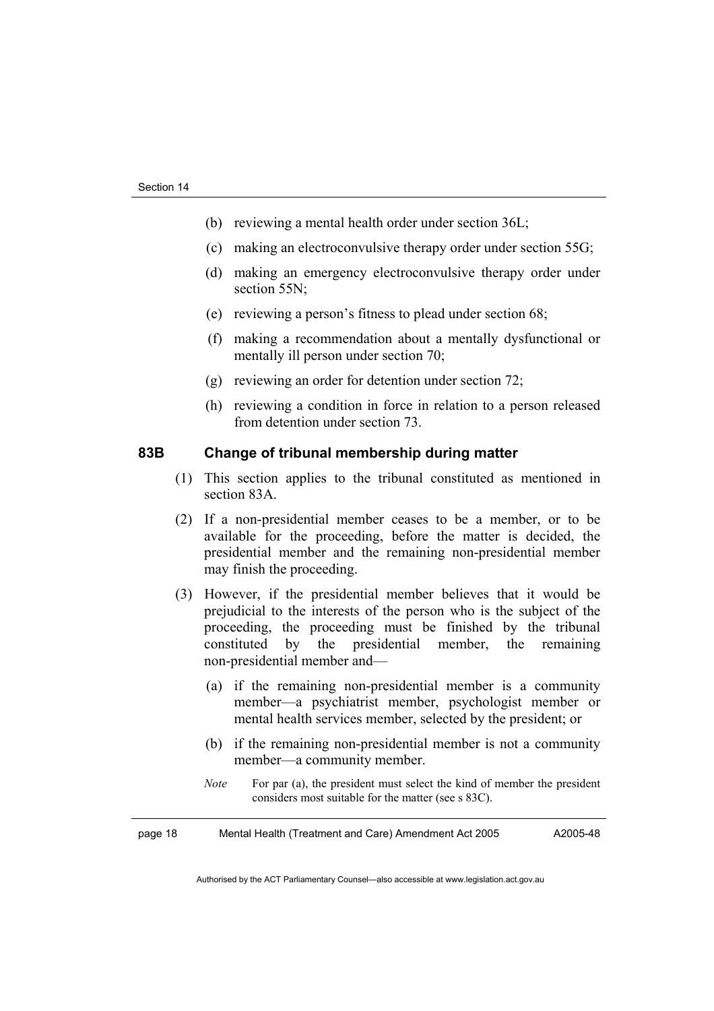- (b) reviewing a mental health order under section 36L;
- (c) making an electroconvulsive therapy order under section 55G;
- (d) making an emergency electroconvulsive therapy order under section 55N:
- (e) reviewing a person's fitness to plead under section 68;
- (f) making a recommendation about a mentally dysfunctional or mentally ill person under section 70;
- (g) reviewing an order for detention under section 72;
- (h) reviewing a condition in force in relation to a person released from detention under section 73.

#### **83B Change of tribunal membership during matter**

- (1) This section applies to the tribunal constituted as mentioned in section 83A.
- (2) If a non-presidential member ceases to be a member, or to be available for the proceeding, before the matter is decided, the presidential member and the remaining non-presidential member may finish the proceeding.
- (3) However, if the presidential member believes that it would be prejudicial to the interests of the person who is the subject of the proceeding, the proceeding must be finished by the tribunal constituted by the presidential member, the remaining non-presidential member and—
	- (a) if the remaining non-presidential member is a community member—a psychiatrist member, psychologist member or mental health services member, selected by the president; or
	- (b) if the remaining non-presidential member is not a community member—a community member.
	- *Note* For par (a), the president must select the kind of member the president considers most suitable for the matter (see s 83C).

page 18 Mental Health (Treatment and Care) Amendment Act 2005 A2005-48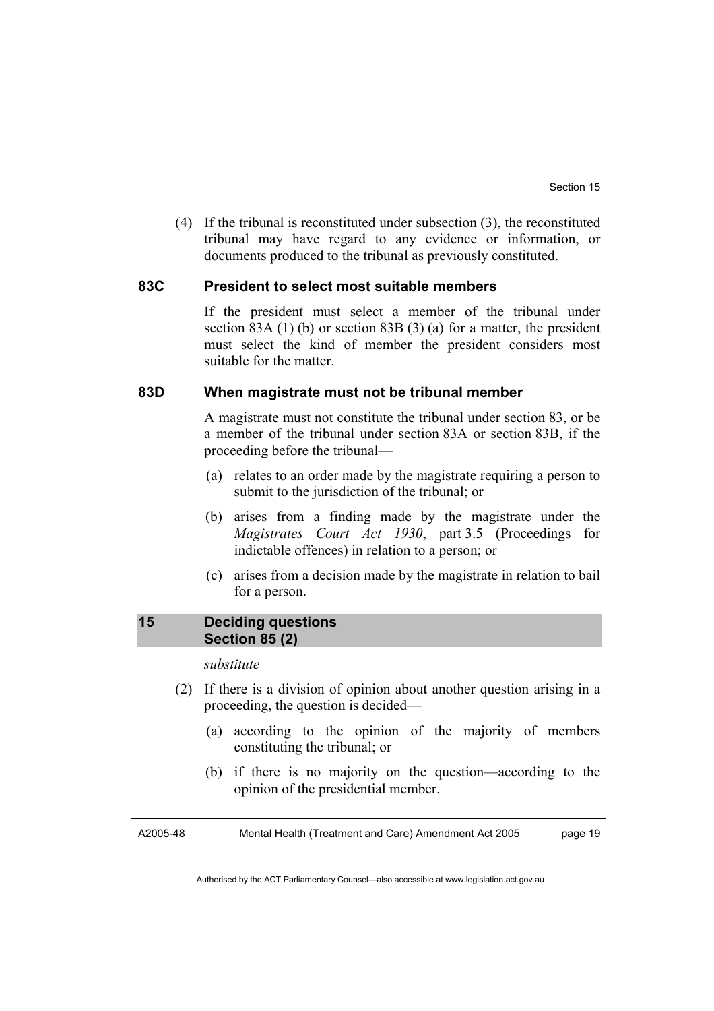(4) If the tribunal is reconstituted under subsection (3), the reconstituted tribunal may have regard to any evidence or information, or documents produced to the tribunal as previously constituted.

#### **83C President to select most suitable members**

If the president must select a member of the tribunal under section 83A (1) (b) or section 83B (3) (a) for a matter, the president must select the kind of member the president considers most suitable for the matter.

#### **83D When magistrate must not be tribunal member**

A magistrate must not constitute the tribunal under section 83, or be a member of the tribunal under section 83A or section 83B, if the proceeding before the tribunal—

- (a) relates to an order made by the magistrate requiring a person to submit to the jurisdiction of the tribunal; or
- (b) arises from a finding made by the magistrate under the *Magistrates Court Act 1930*, part 3.5 (Proceedings for indictable offences) in relation to a person; or
- (c) arises from a decision made by the magistrate in relation to bail for a person.

#### **15 Deciding questions Section 85 (2)**

#### *substitute*

- (2) If there is a division of opinion about another question arising in a proceeding, the question is decided—
	- (a) according to the opinion of the majority of members constituting the tribunal; or
	- (b) if there is no majority on the question—according to the opinion of the presidential member.

A2005-48 Mental Health (Treatment and Care) Amendment Act 2005 page 19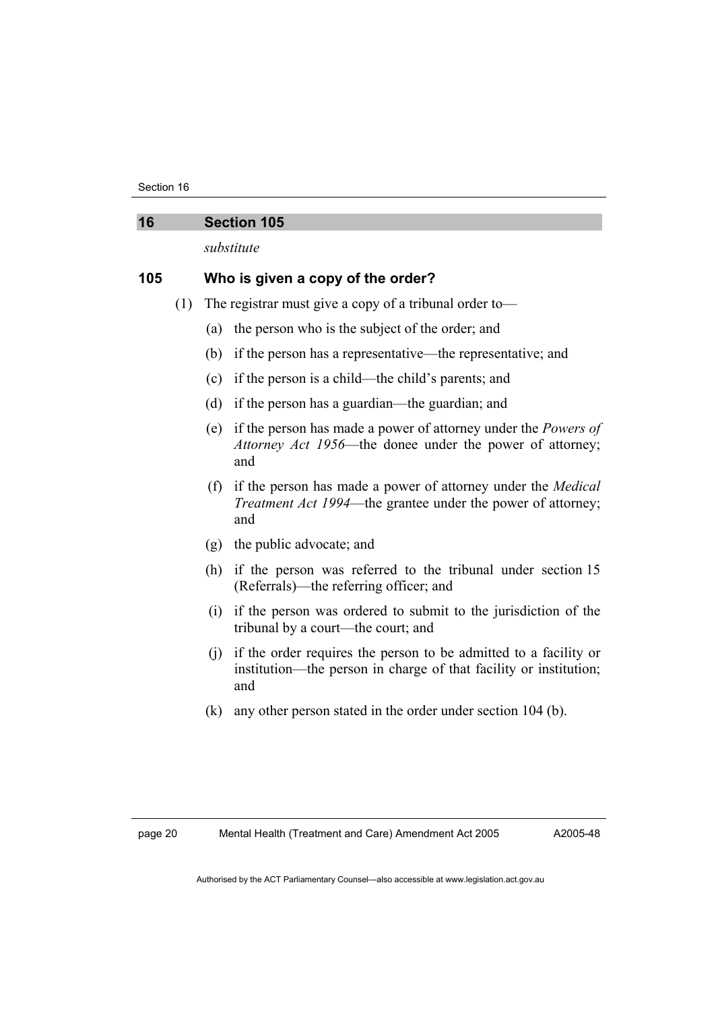Section 16

| 16  |     | <b>Section 105</b>                                                                                                                                       |  |  |
|-----|-----|----------------------------------------------------------------------------------------------------------------------------------------------------------|--|--|
|     |     | substitute                                                                                                                                               |  |  |
| 105 |     | Who is given a copy of the order?                                                                                                                        |  |  |
|     | (1) | The registrar must give a copy of a tribunal order to-                                                                                                   |  |  |
|     |     | the person who is the subject of the order; and<br>(a)                                                                                                   |  |  |
|     |     | if the person has a representative—the representative; and<br>(b)                                                                                        |  |  |
|     |     | if the person is a child—the child's parents; and<br>(c)                                                                                                 |  |  |
|     |     | (d)<br>if the person has a guardian—the guardian; and                                                                                                    |  |  |
|     |     | if the person has made a power of attorney under the <i>Powers of</i><br>(e)<br>Attorney Act 1956—the donee under the power of attorney;<br>and          |  |  |
|     |     | if the person has made a power of attorney under the <i>Medical</i><br>(f)<br><i>Treatment Act 1994</i> —the grantee under the power of attorney;<br>and |  |  |
|     |     | the public advocate; and<br>(g)                                                                                                                          |  |  |
|     |     | if the person was referred to the tribunal under section 15<br>(h)<br>(Referrals)—the referring officer; and                                             |  |  |
|     |     | if the person was ordered to submit to the jurisdiction of the<br>(i)<br>tribunal by a court—the court; and                                              |  |  |
|     |     | if the order requires the person to be admitted to a facility or<br>(i)<br>institution—the person in charge of that facility or institution;<br>and      |  |  |
|     |     | any other person stated in the order under section 104 (b).<br>(k)                                                                                       |  |  |

A2005-48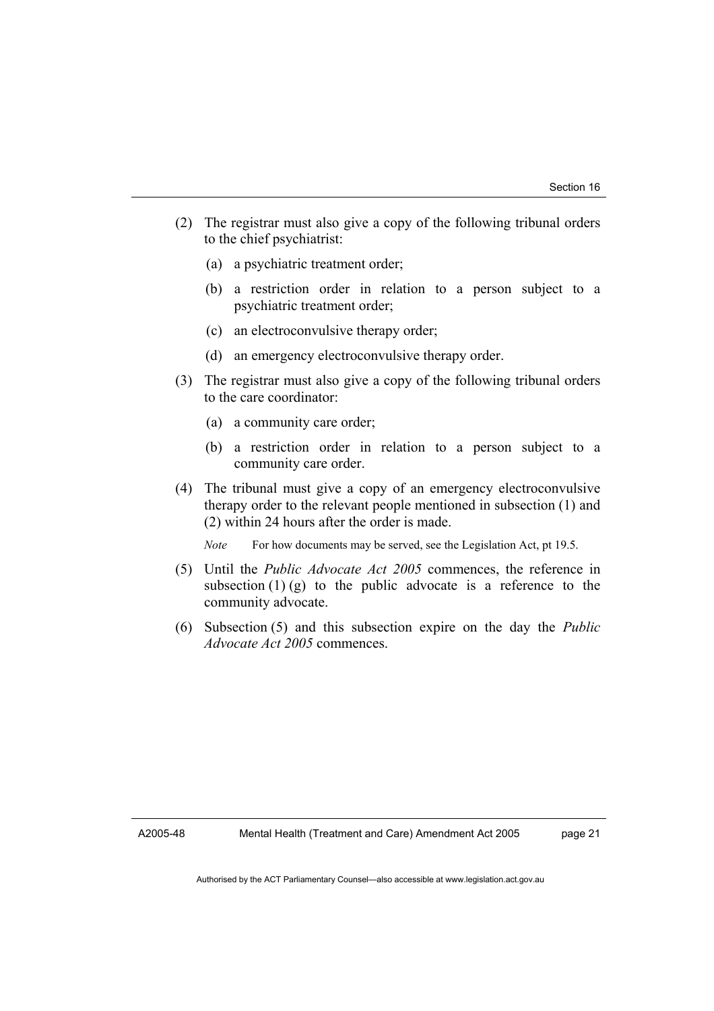- (2) The registrar must also give a copy of the following tribunal orders to the chief psychiatrist:
	- (a) a psychiatric treatment order;
	- (b) a restriction order in relation to a person subject to a psychiatric treatment order;
	- (c) an electroconvulsive therapy order;
	- (d) an emergency electroconvulsive therapy order.
- (3) The registrar must also give a copy of the following tribunal orders to the care coordinator:
	- (a) a community care order;
	- (b) a restriction order in relation to a person subject to a community care order.
- (4) The tribunal must give a copy of an emergency electroconvulsive therapy order to the relevant people mentioned in subsection (1) and (2) within 24 hours after the order is made.

*Note* For how documents may be served, see the Legislation Act, pt 19.5.

- (5) Until the *Public Advocate Act 2005* commences, the reference in subsection  $(1)$  (g) to the public advocate is a reference to the community advocate.
- (6) Subsection (5) and this subsection expire on the day the *Public Advocate Act 2005* commences.

page 21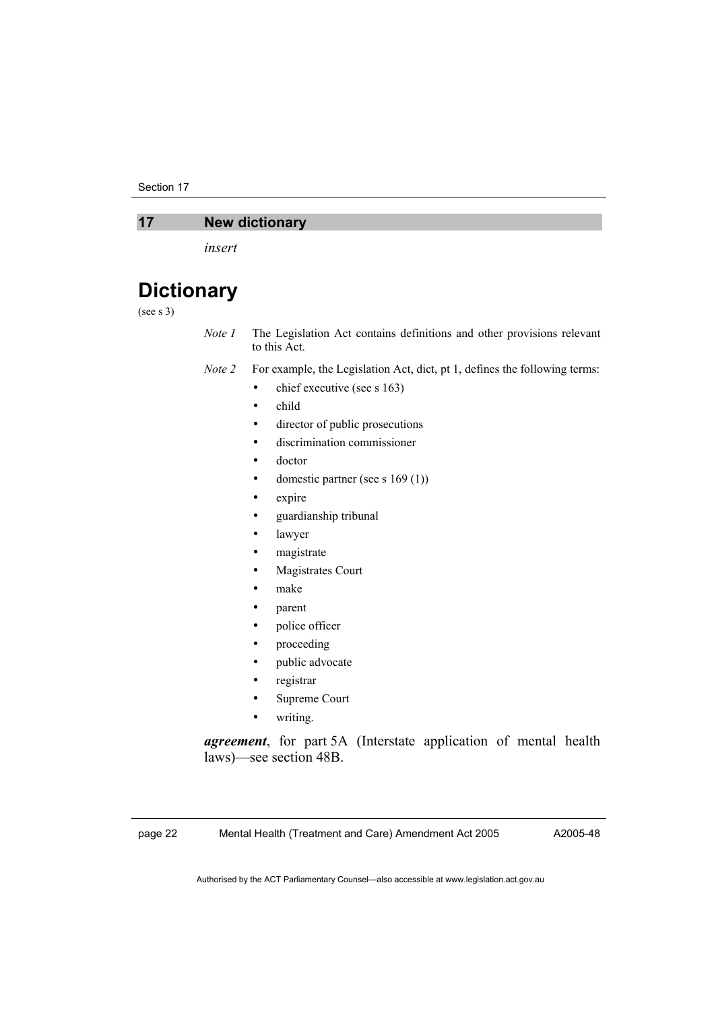Section 17

#### **17 New dictionary**

*insert* 

## **Dictionary**

#### (see s 3)

*Note 1* The Legislation Act contains definitions and other provisions relevant to this Act.

- *Note 2* For example, the Legislation Act, dict, pt 1, defines the following terms:
	- $\bullet$  chief executive (see s 163)
	- child
	- director of public prosecutions
	- discrimination commissioner
	- doctor
	- domestic partner (see s 169 (1))
	- expire
	- guardianship tribunal
	- lawyer
	- magistrate
	- Magistrates Court
	- make
	- parent
	- police officer
	- proceeding
	- public advocate
	- registrar
	- Supreme Court
	- writing.

*agreement*, for part 5A (Interstate application of mental health laws)—see section 48B.

page 22 Mental Health (Treatment and Care) Amendment Act 2005

A2005-48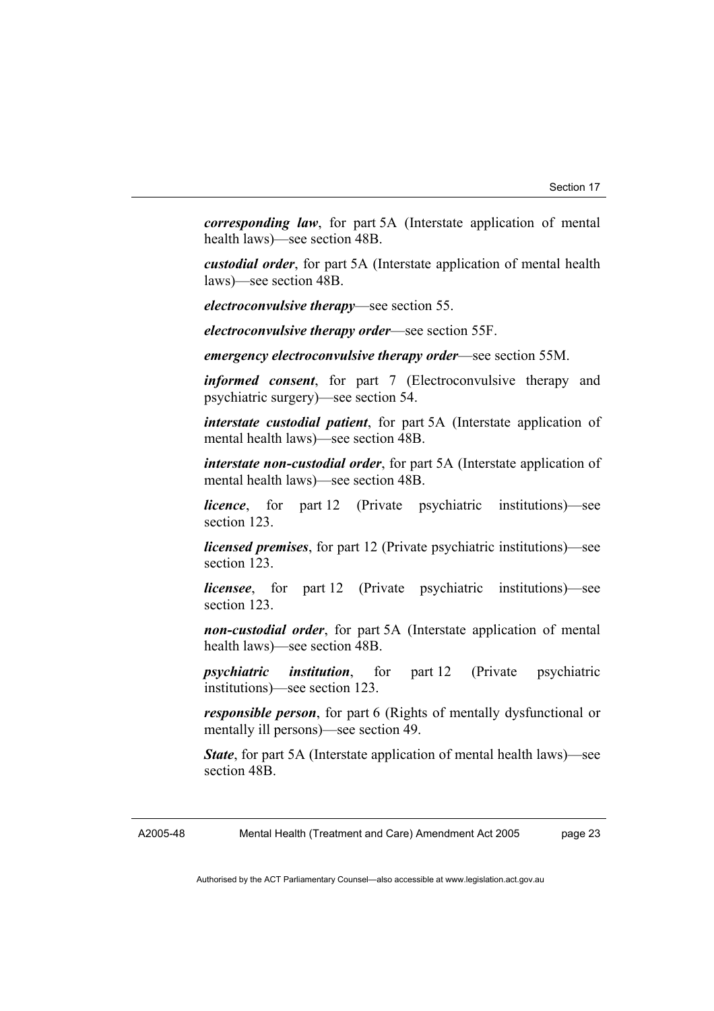*corresponding law*, for part 5A (Interstate application of mental health laws)—see section 48B.

*custodial order*, for part 5A (Interstate application of mental health laws)—see section 48B.

*electroconvulsive therapy*—see section 55.

*electroconvulsive therapy order*—see section 55F.

*emergency electroconvulsive therapy order*—see section 55M.

*informed consent*, for part 7 (Electroconvulsive therapy and psychiatric surgery)—see section 54.

*interstate custodial patient*, for part 5A (Interstate application of mental health laws)—see section 48B.

*interstate non-custodial order*, for part 5A (Interstate application of mental health laws)—see section 48B.

*licence*, for part 12 (Private psychiatric institutions)—see section 123.

*licensed premises*, for part 12 (Private psychiatric institutions)—see section 123.

*licensee*, for part 12 (Private psychiatric institutions)—see section 123.

*non-custodial order*, for part 5A (Interstate application of mental health laws)—see section 48B.

*psychiatric institution*, for part 12 (Private psychiatric institutions)—see section 123.

*responsible person*, for part 6 (Rights of mentally dysfunctional or mentally ill persons)—see section 49.

*State*, for part 5A (Interstate application of mental health laws)—see section 48B.

A2005-48 Mental Health (Treatment and Care) Amendment Act 2005 page 23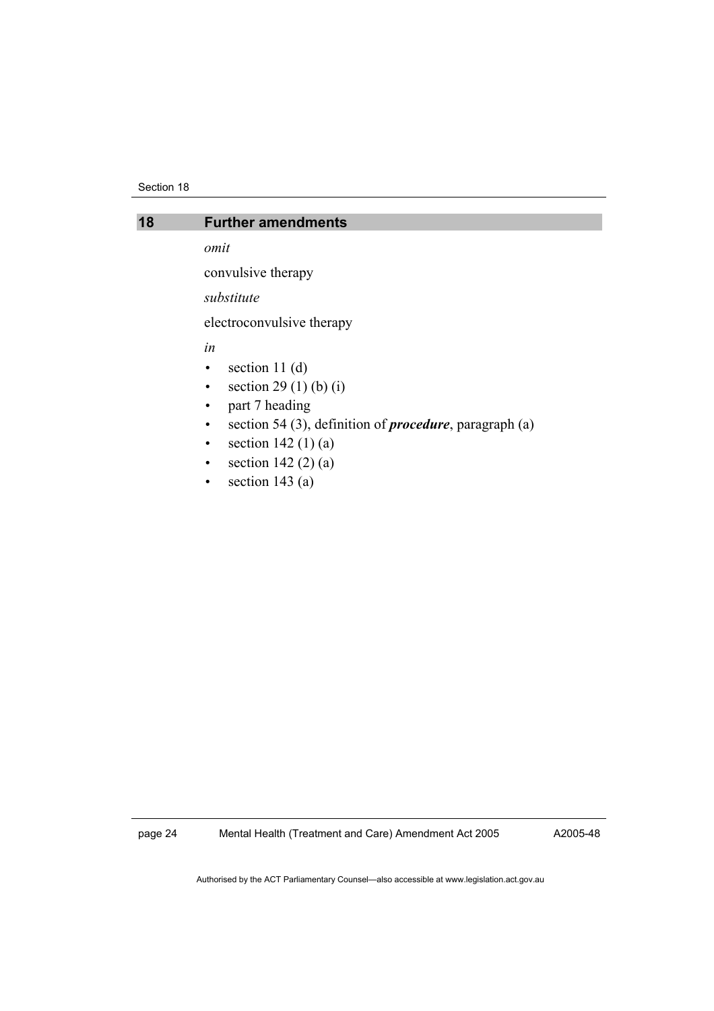#### Section 18

#### **18 Further amendments**

*omit* 

convulsive therapy

*substitute* 

electroconvulsive therapy

*in* 

- $\bullet$  section 11 $(d)$
- section 29 (1) (b) (i)
- part 7 heading
- section 54 (3), definition of *procedure*, paragraph (a)
- section  $142 (1) (a)$
- section  $142(2)(a)$
- section 143 $(a)$

page 24 Mental Health (Treatment and Care) Amendment Act 2005

A2005-48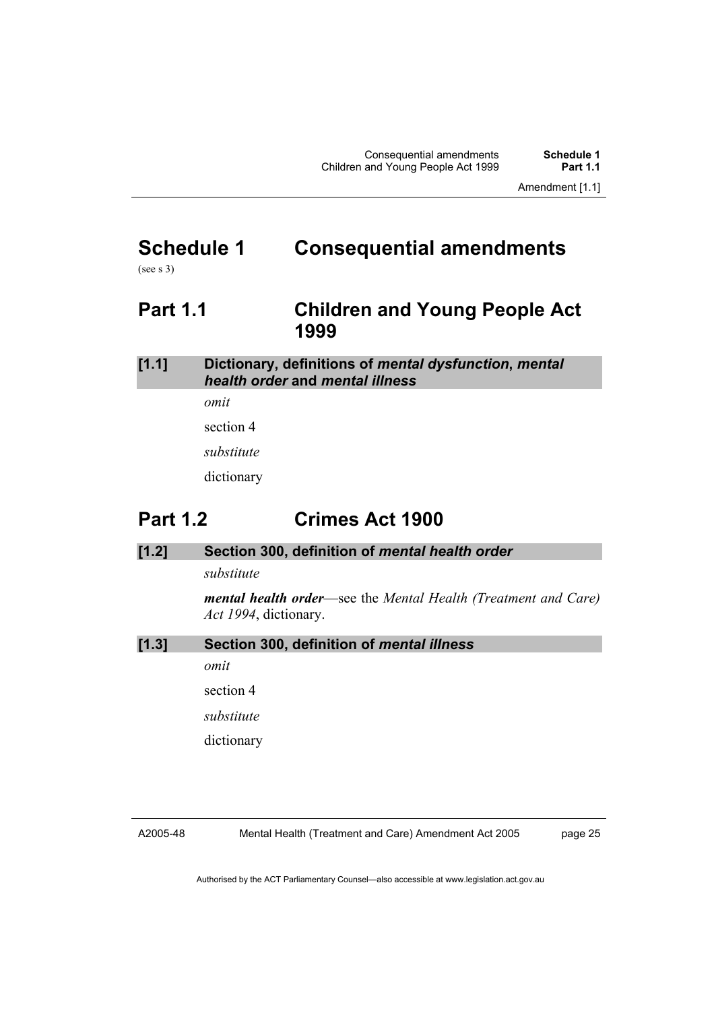Amendment [1.1]

## **Schedule 1 Consequential amendments**

(see s 3)

## **Part 1.1 Children and Young People Act 1999**

#### **[1.1] Dictionary, definitions of** *mental dysfunction***,** *mental health order* **and** *mental illness*

*omit* 

section 4

*substitute* 

dictionary

## **Part 1.2 Crimes Act 1900**

#### **[1.2] Section 300, definition of** *mental health order*

*substitute* 

*mental health order*—see the *Mental Health (Treatment and Care) Act 1994*, dictionary.

**[1.3] Section 300, definition of** *mental illness*

*omit* 

section 4

*substitute* 

dictionary

#### A2005-48

Mental Health (Treatment and Care) Amendment Act 2005

page 25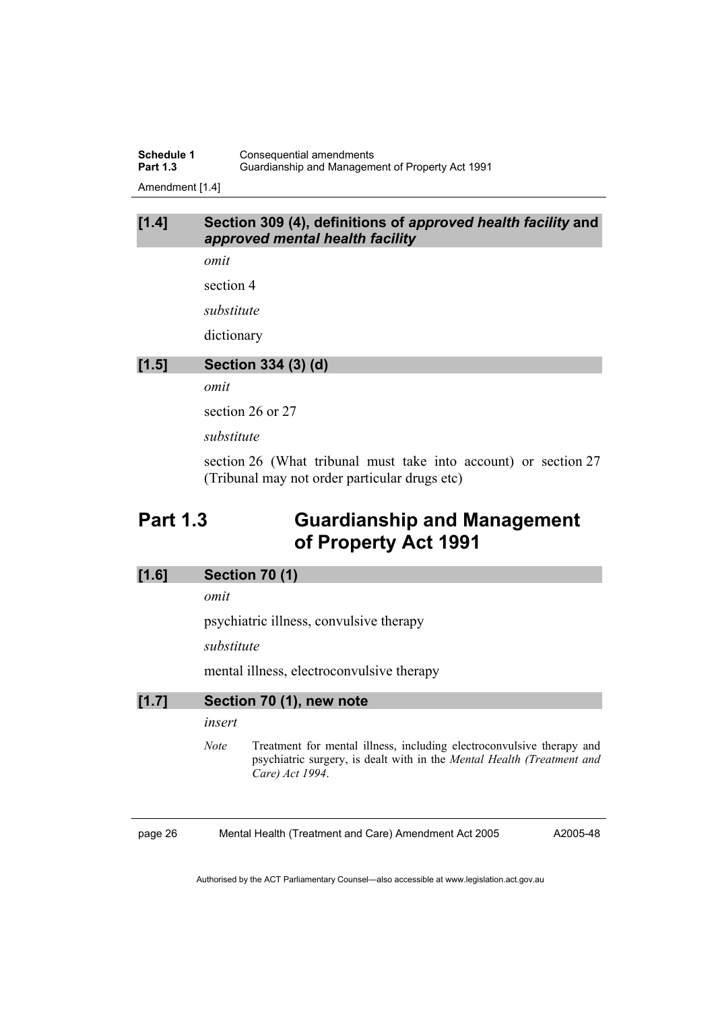**Schedule 1 Consequential amendments**<br>**Part 1.3 Guardianship and Managem Part 1.3** Guardianship and Management of Property Act 1991 Amendment [1.4]

#### **[1.4] Section 309 (4), definitions of** *approved health facility* **and** *approved mental health facility*

*omit* 

section 4

*substitute* 

dictionary

#### **[1.5] Section 334 (3) (d)**

*omit* 

section 26 or 27

*substitute* 

section 26 (What tribunal must take into account) or section 27 (Tribunal may not order particular drugs etc)

## **Part 1.3 Guardianship and Management of Property Act 1991**

#### **[1.6] Section 70 (1)**

*omit* 

psychiatric illness, convulsive therapy

*substitute* 

mental illness, electroconvulsive therapy

| $[1.7]$ | Section 70 (1), new note |                                                                                                                                                                    |  |  |
|---------|--------------------------|--------------------------------------------------------------------------------------------------------------------------------------------------------------------|--|--|
|         | insert                   |                                                                                                                                                                    |  |  |
|         | <i>Note</i>              | Treatment for mental illness, including electroconvulsive therapy and<br>psychiatric surgery, is dealt with in the Mental Health (Treatment and<br>Care) Act 1994. |  |  |

page 26 Mental Health (Treatment and Care) Amendment Act 2005

A2005-48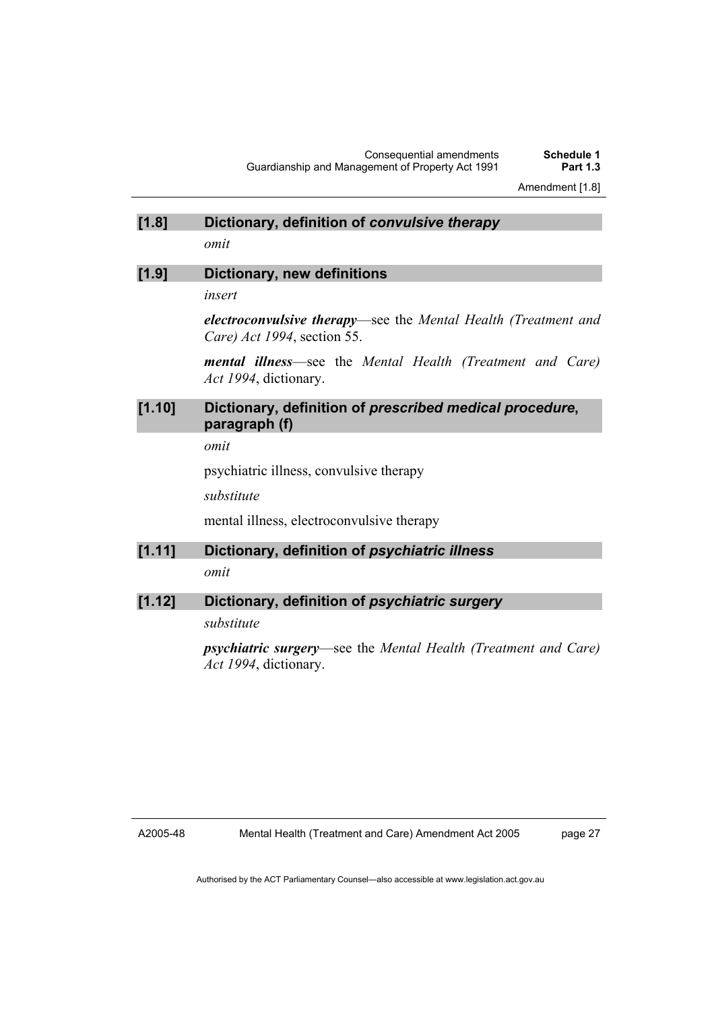#### **[1.8] Dictionary, definition of** *convulsive therapy*

*omit* 

#### **[1.9] Dictionary, new definitions**

*insert* 

*electroconvulsive therapy*—see the *Mental Health (Treatment and Care) Act 1994*, section 55.

*mental illness*—see the *Mental Health (Treatment and Care) Act 1994*, dictionary.

#### **[1.10] Dictionary, definition of** *prescribed medical procedure***, paragraph (f)**

*omit* 

psychiatric illness, convulsive therapy

*substitute* 

mental illness, electroconvulsive therapy

#### **[1.11] Dictionary, definition of** *psychiatric illness*

*omit* 

#### **[1.12] Dictionary, definition of** *psychiatric surgery*

*substitute* 

*psychiatric surgery*—see the *Mental Health (Treatment and Care) Act 1994*, dictionary.

A2005-48

page 27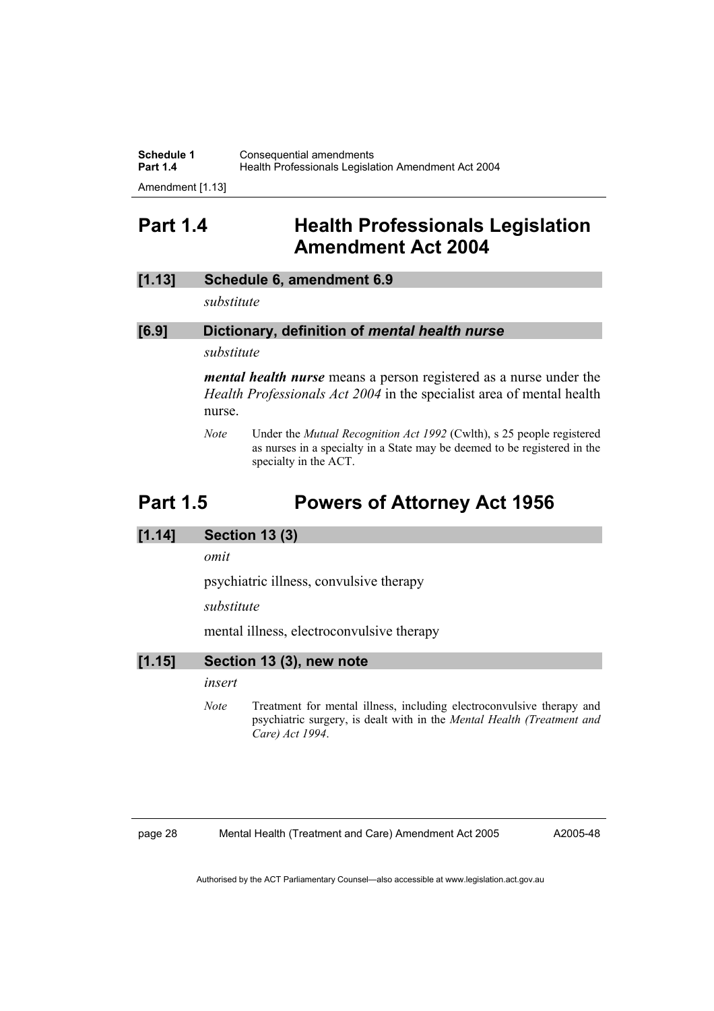**Schedule 1 Consequential amendments**<br>**Part 1.4 Health Professionals Legisla** Health Professionals Legislation Amendment Act 2004

Amendment [1.13]

## **Part 1.4 Health Professionals Legislation Amendment Act 2004**

#### **[1.13] Schedule 6, amendment 6.9**

*substitute* 

#### **[6.9] Dictionary, definition of** *mental health nurse*

*substitute* 

*mental health nurse* means a person registered as a nurse under the *Health Professionals Act 2004* in the specialist area of mental health nurse.

*Note* Under the *Mutual Recognition Act 1992* (Cwlth), s 25 people registered as nurses in a specialty in a State may be deemed to be registered in the specialty in the ACT.

## **Part 1.5 Powers of Attorney Act 1956**

#### **[1.14] Section 13 (3)**

*omit* 

psychiatric illness, convulsive therapy

*substitute* 

mental illness, electroconvulsive therapy

#### **[1.15] Section 13 (3), new note**

*insert* 

*Note* Treatment for mental illness, including electroconvulsive therapy and psychiatric surgery, is dealt with in the *Mental Health (Treatment and Care) Act 1994*.

page 28 Mental Health (Treatment and Care) Amendment Act 2005

A2005-48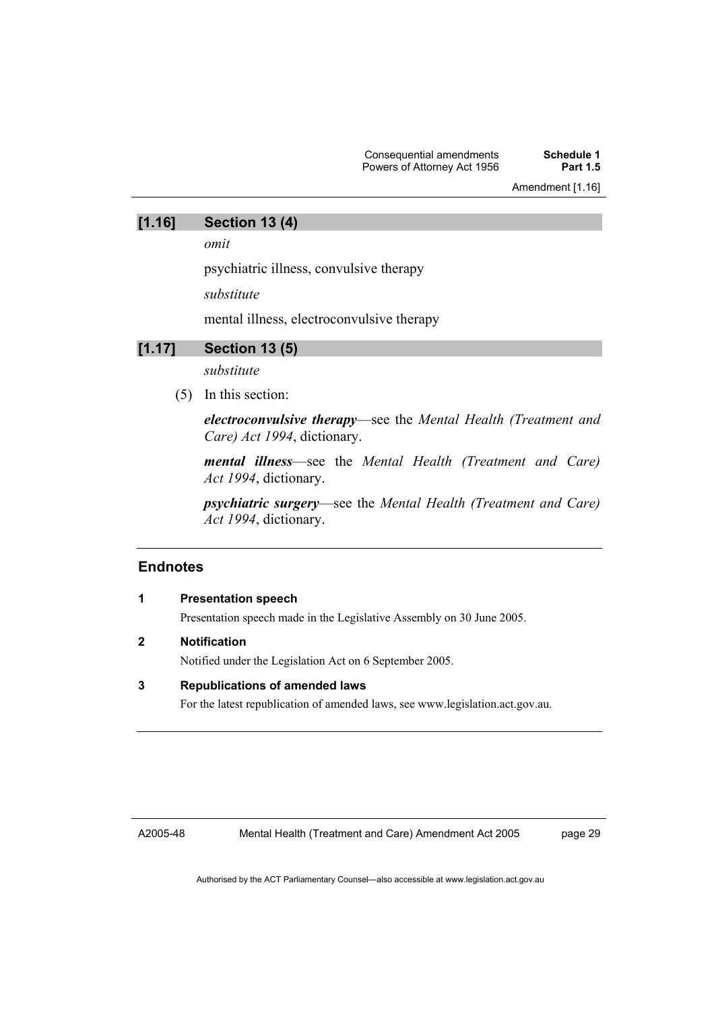#### **[1.16] Section 13 (4)**

*omit* 

psychiatric illness, convulsive therapy

*substitute* 

mental illness, electroconvulsive therapy

#### **[1.17] Section 13 (5)**

*substitute* 

(5) In this section:

*electroconvulsive therapy*—see the *Mental Health (Treatment and Care) Act 1994*, dictionary.

*mental illness*—see the *Mental Health (Treatment and Care) Act 1994*, dictionary.

*psychiatric surgery*—see the *Mental Health (Treatment and Care) Act 1994*, dictionary.

#### **Endnotes**

#### **1 Presentation speech**

Presentation speech made in the Legislative Assembly on 30 June 2005.

#### **2 Notification**

Notified under the Legislation Act on 6 September 2005.

#### **3 Republications of amended laws**

For the latest republication of amended laws, see www.legislation.act.gov.au.

A2005-48

Mental Health (Treatment and Care) Amendment Act 2005

page 29